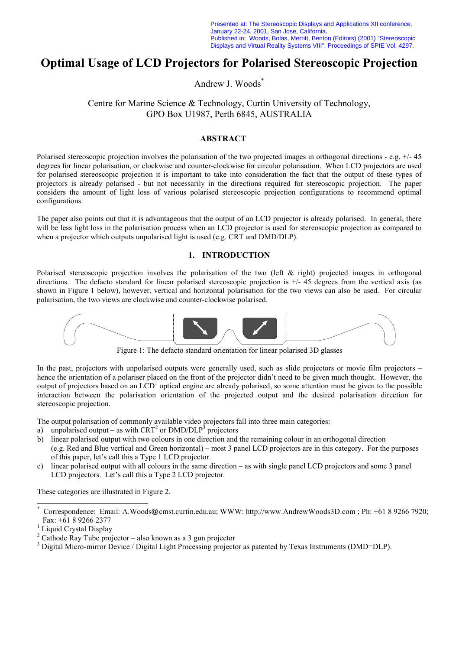Presented at: The Stereoscopic Displays and Applications XII conference, January 22-24, 2001, San Jose, California. Published in: Woods, Bolas, Merritt, Benton (Editors) (2001) "Stereoscopic Displays and Virtual Reality Systems VIII", Proceedings of SPIE Vol. 4297.

# **Optimal Usage of LCD Projectors for Polarised Stereoscopic Projection**

Andrew J. Woods\*

Centre for Marine Science & Technology, Curtin University of Technology, GPO Box U1987, Perth 6845, AUSTRALIA

## **ABSTRACT**

Polarised stereoscopic projection involves the polarisation of the two projected images in orthogonal directions - e.g. +/- 45 degrees for linear polarisation, or clockwise and counter-clockwise for circular polarisation. When LCD projectors are used for polarised stereoscopic projection it is important to take into consideration the fact that the output of these types of projectors is already polarised - but not necessarily in the directions required for stereoscopic projection. The paper considers the amount of light loss of various polarised stereoscopic projection configurations to recommend optimal configurations.

The paper also points out that it is advantageous that the output of an LCD projector is already polarised. In general, there will be less light loss in the polarisation process when an LCD projector is used for stereoscopic projection as compared to when a projector which outputs unpolarised light is used (e.g. CRT and DMD/DLP).

#### **1. INTRODUCTION**

Polarised stereoscopic projection involves the polarisation of the two (left & right) projected images in orthogonal directions. The defacto standard for linear polarised stereoscopic projection is  $+/- 45$  degrees from the vertical axis (as shown in Figure 1 below), however, vertical and horizontal polarisation for the two views can also be used. For circular polarisation, the two views are clockwise and counter-clockwise polarised.



Figure 1: The defacto standard orientation for linear polarised 3D glasses

In the past, projectors with unpolarised outputs were generally used, such as slide projectors or movie film projectors – hence the orientation of a polariser placed on the front of the projector didn't need to be given much thought. However, the output of projectors based on an  $LCD<sup>1</sup>$  optical engine are already polarised, so some attention must be given to the possible interaction between the polarisation orientation of the projected output and the desired polarisation direction for stereoscopic projection.

The output polarisation of commonly available video projectors fall into three main categories:

- a) unpolarised output as with  $CRT^2$  or  $DMD/DLP^3$  projectors
- b) linear polarised output with two colours in one direction and the remaining colour in an orthogonal direction (e.g. Red and Blue vertical and Green horizontal) – most 3 panel LCD projectors are in this category. For the purposes of this paper, let's call this a Type 1 LCD projector.
- c) linear polarised output with all colours in the same direction as with single panel LCD projectors and some 3 panel LCD projectors. Let's call this a Type 2 LCD projector.

These categories are illustrated in Figure 2.

l

<sup>\*</sup> Correspondence: Email: A.Woods@cmst.curtin.edu.au; WWW: http://www.AndrewWoods3D.com ; Ph: +61 8 9266 7920; Fax:  $+61892662377$ 

Liquid Crystal Display

<sup>2</sup> Cathode Ray Tube projector – also known as a 3 gun projector

<sup>&</sup>lt;sup>3</sup> Digital Micro-mirror Device / Digital Light Processing projector as patented by Texas Instruments (DMD=DLP).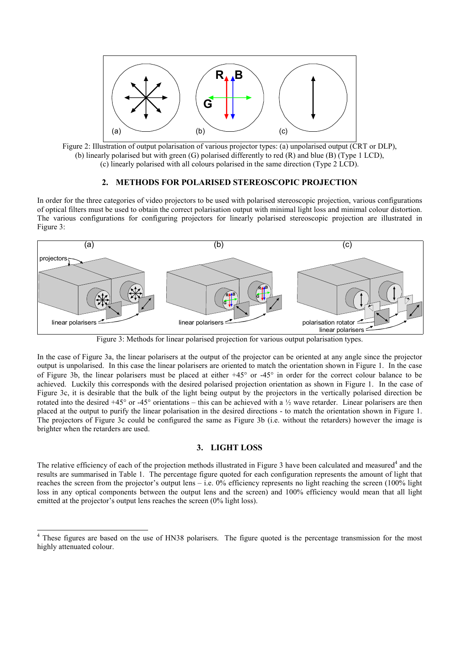

Figure 2: Illustration of output polarisation of various projector types: (a) unpolarised output (CRT or DLP), (b) linearly polarised but with green (G) polarised differently to red (R) and blue (B) (Type 1 LCD), (c) linearly polarised with all colours polarised in the same direction (Type 2 LCD).

## **2. METHODS FOR POLARISED STEREOSCOPIC PROJECTION**

In order for the three categories of video projectors to be used with polarised stereoscopic projection, various configurations of optical filters must be used to obtain the correct polarisation output with minimal light loss and minimal colour distortion. The various configurations for configuring projectors for linearly polarised stereoscopic projection are illustrated in Figure 3:



Figure 3: Methods for linear polarised projection for various output polarisation types.

In the case of Figure 3a, the linear polarisers at the output of the projector can be oriented at any angle since the projector output is unpolarised. In this case the linear polarisers are oriented to match the orientation shown in Figure 1. In the case of Figure 3b, the linear polarisers must be placed at either +45° or -45° in order for the correct colour balance to be achieved. Luckily this corresponds with the desired polarised projection orientation as shown in Figure 1. In the case of Figure 3c, it is desirable that the bulk of the light being output by the projectors in the vertically polarised direction be rotated into the desired  $+45^{\circ}$  or  $-45^{\circ}$  orientations – this can be achieved with a  $\frac{1}{2}$  wave retarder. Linear polarisers are then placed at the output to purify the linear polarisation in the desired directions - to match the orientation shown in Figure 1. The projectors of Figure 3c could be configured the same as Figure 3b (i.e. without the retarders) however the image is brighter when the retarders are used.

## **3. LIGHT LOSS**

The relative efficiency of each of the projection methods illustrated in Figure 3 have been calculated and measured<sup>4</sup> and the results are summarised in Table 1. The percentage figure quoted for each configuration represents the amount of light that reaches the screen from the projector's output lens – i.e.  $0\%$  efficiency represents no light reaching the screen (100% light loss in any optical components between the output lens and the screen) and 100% efficiency would mean that all light emitted at the projector's output lens reaches the screen (0% light loss).

l

<sup>&</sup>lt;sup>4</sup> These figures are based on the use of HN38 polarisers. The figure quoted is the percentage transmission for the most highly attenuated colour.